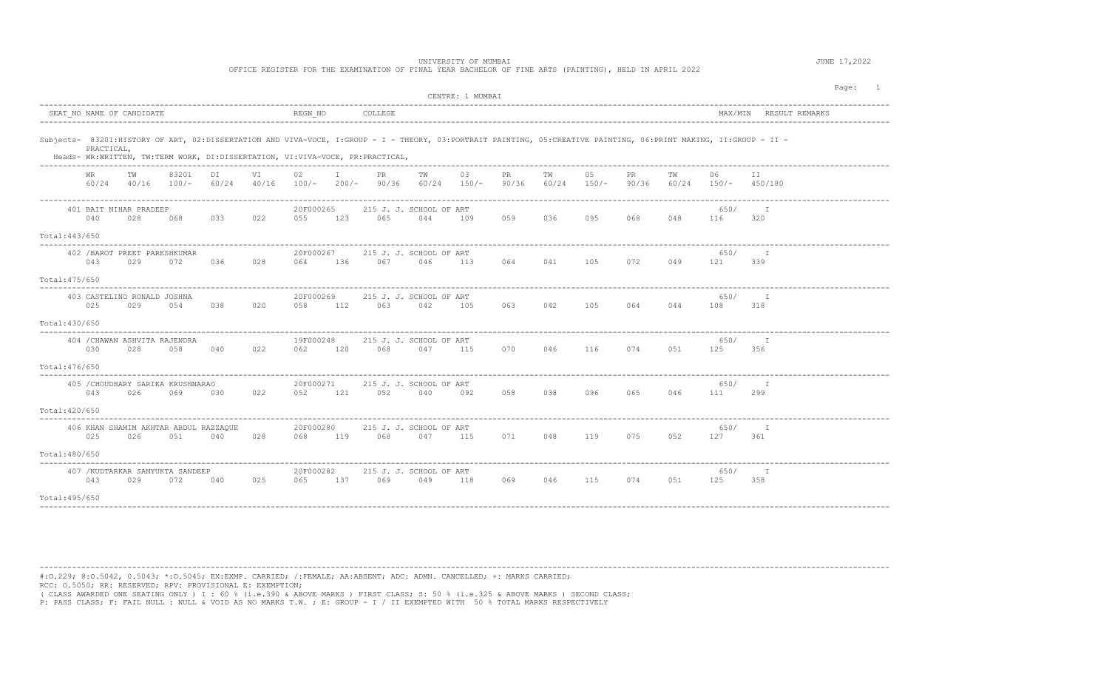OFFICE REGISTER FOR THE EXAMINATION OF FINAL YEAR BACHELOR OF FINE ARTS (PAINTING), HELD IN APRIL 2022

| CENTRE: 1 MUMBAI                                                                                                                                                                                                                                                 |             |                               |                                        |                   |                 |                   |        |                    |     |                     |                        |  |  |  |
|------------------------------------------------------------------------------------------------------------------------------------------------------------------------------------------------------------------------------------------------------------------|-------------|-------------------------------|----------------------------------------|-------------------|-----------------|-------------------|--------|--------------------|-----|---------------------|------------------------|--|--|--|
| SEAT NO NAME OF CANDIDATE                                                                                                                                                                                                                                        |             | REGN NO                       | COLLEGE                                |                   |                 |                   |        |                    |     |                     | MAX/MIN RESULT REMARKS |  |  |  |
| Subjects- 83201:HISTORY OF ART, 02:DISSERTATION AND VIVA-VOCE, I:GROUP - I - THEORY, 03:PORTRAIT PAINTING, 05:CREATIVE PAINTING, 06:PRINT MAKING, II:GROUP - II -<br>PRACTICAL,<br>Heads- WR:WRITTEN, TW:TERM WORK, DI:DISSERTATION, VI:VIVA-VOCE, PR:PRACTICAL, |             |                               |                                        |                   |                 |                   |        |                    |     |                     |                        |  |  |  |
| 83201<br>DI<br>WR.<br>TW<br>60/24<br>60/24 40/16<br>$100/-$                                                                                                                                                                                                      | VI<br>40/16 | $\mathbb{I}$<br>02<br>$100/-$ | PR<br>TW<br>200/- 90/36                | 03<br>60/24 150/- | PR<br>90/36     | TW<br>60/24 150/- | 05     | PR.<br>90/36 60/24 | TW  | 06<br>150/- 450/180 | II.                    |  |  |  |
| 401 BAIT NIHAR PRADEEP<br>040<br>028<br>033<br>068                                                                                                                                                                                                               | 022         | 20F000265<br>055<br>123       | 215 J. J. SCHOOL OF ART<br>065<br>044  | 109               | 059             | 036               | 095    | 068                | 048 | 650/<br>116         | I.<br>320              |  |  |  |
| Total: 443/650                                                                                                                                                                                                                                                   |             |                               |                                        |                   |                 |                   |        |                    |     |                     |                        |  |  |  |
| 402 / BAROT PREET PARESHKUMAR<br>043<br>029<br>072<br>036                                                                                                                                                                                                        | 028         | 20F000267<br>136<br>064       | 215 J. J. SCHOOL OF ART<br>067<br>046  | 113               | 064             | 041               | 105    | 072                | 049 | 650/<br>121         | I<br>339               |  |  |  |
| Total: 475/650                                                                                                                                                                                                                                                   |             |                               |                                        |                   |                 |                   |        |                    |     |                     |                        |  |  |  |
| 403 CASTELINO RONALD JOSHNA<br>025<br>029<br>054<br>038                                                                                                                                                                                                          | 020         | 20F000269<br>112<br>058       | 215 J. J. SCHOOL OF ART<br>063<br>042  | 105               | 063 042 105 064 |                   |        |                    | 044 | 650/<br>108         | I<br>318               |  |  |  |
| Total: 430/650<br>----------                                                                                                                                                                                                                                     |             |                               |                                        |                   |                 |                   |        |                    |     |                     |                        |  |  |  |
| 404 / CHAWAN ASHVITA RAJENDRA<br>030<br>028<br>058<br>040                                                                                                                                                                                                        | 022         | 19F000248<br>120<br>062       | 215 J. J. SCHOOL OF ART<br>068<br>047  | 115               |                 | 070 046 116       |        | 074                | 051 | 650/<br>125         | I.<br>356              |  |  |  |
| Total: 476/650                                                                                                                                                                                                                                                   |             |                               |                                        |                   |                 |                   |        |                    |     |                     |                        |  |  |  |
| 405 / CHOUDHARY SARIKA KRUSHNARAO<br>026<br>043<br>069<br>030                                                                                                                                                                                                    | 022         | 20F000271<br>121<br>052       | 215 J. J. SCHOOL OF ART<br>052<br>040  | 092               | 058             | 038               | 096 09 | 065                | 046 | 650/<br>111         | $\mathbb{I}$<br>299    |  |  |  |
| Total: 420/650                                                                                                                                                                                                                                                   |             |                               |                                        |                   |                 |                   |        |                    |     |                     |                        |  |  |  |
| 406 KHAN SHAMIM AKHTAR ABDUL RAZZAQUE<br>025<br>026<br>051<br>040                                                                                                                                                                                                | 028         | 20F000280<br>068 119          | 215 J. J. SCHOOL OF ART<br>068 047     | 115               | 071 048 119     |                   |        | 075                | 052 | 650/<br>127 361     | – I                    |  |  |  |
| Total: 480/650                                                                                                                                                                                                                                                   |             |                               |                                        |                   |                 |                   |        |                    |     |                     |                        |  |  |  |
| 407 / KUDTARKAR SANYUKTA SANDEEP<br>043<br>029<br>072<br>040                                                                                                                                                                                                     | 025         | 20F000282<br>065              | 215 J. J. SCHOOL OF ART<br>137 069 049 | 118               | 069             | 046               | 115    | 074                | 051 | 650/<br>125         | $\mathbb{I}$<br>358    |  |  |  |
| Total: 495/650                                                                                                                                                                                                                                                   |             |                               |                                        |                   |                 |                   |        |                    |     |                     |                        |  |  |  |

---------------------------------------------------------------------------------------------------------------------------------------------------------------------------------------- #:O.229; @:O.5042, 0.5043; \*:O.5045; EX:EXMP. CARRIED; /:FEMALE; AA:ABSENT; ADC: ADMN. CANCELLED; +: MARKS CARRIED; RCC: O.5050; RR: RESERVED; RPV: PROVISIONAL E: EXEMPTION; ( CLASS AWARDED ONE SEATING ONLY ) I : 60 % (i.e.390 & ABOVE MARKS ) FIRST CLASS; S: 50 % (i.e.325 & ABOVE MARKS ) SECOND CLASS; P: PASS CLASS; F: FAIL NULL : NULL & VOID AS NO MARKS T.W. ; E: GROUP - I / II EXEMPTED WITH 50 % TOTAL MARKS RESPECTIVELY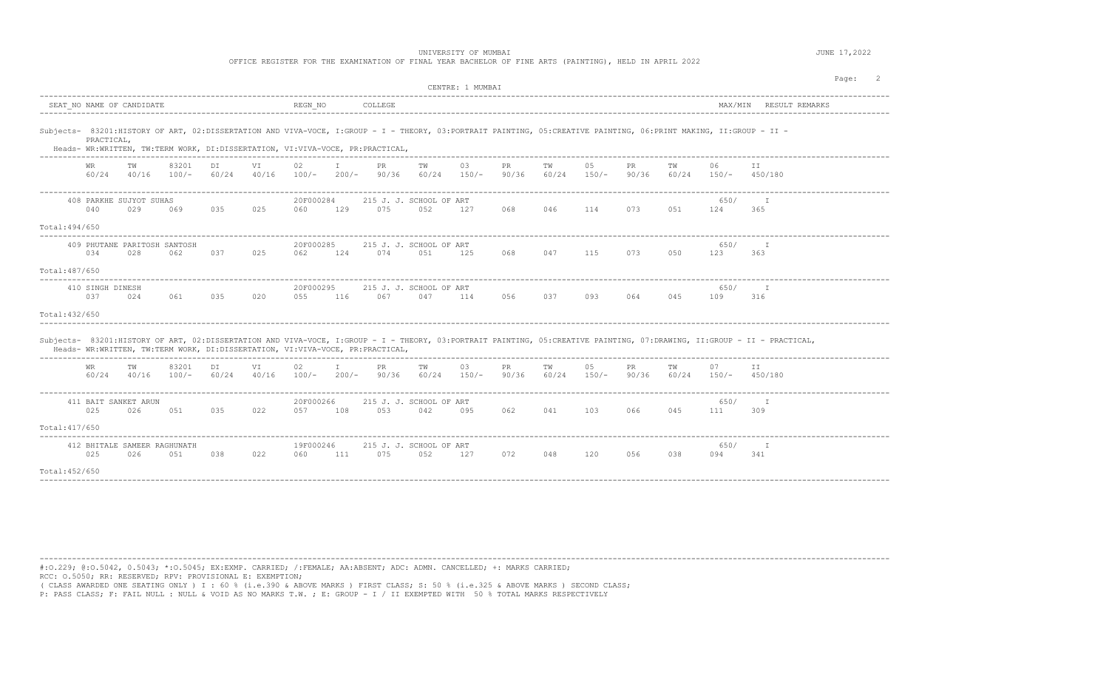OFFICE REGISTER FOR THE EXAMINATION OF FINAL YEAR BACHELOR OF FINE ARTS (PAINTING), HELD IN APRIL 2022

|                                                                                                                                                                                                                                                    |                                     |                  |             |             |                  |                         |             |                                | CENTRE: 1 MUMBAI    |              |             |               |              |             |               |                                                                                                                                                                         | Page: |
|----------------------------------------------------------------------------------------------------------------------------------------------------------------------------------------------------------------------------------------------------|-------------------------------------|------------------|-------------|-------------|------------------|-------------------------|-------------|--------------------------------|---------------------|--------------|-------------|---------------|--------------|-------------|---------------|-------------------------------------------------------------------------------------------------------------------------------------------------------------------------|-------|
| SEAT NO NAME OF CANDIDATE                                                                                                                                                                                                                          |                                     |                  |             |             | REGN NO          |                         | COLLEGE     |                                |                     |              |             |               |              |             | MAX/MIN       | RESULT REMARKS                                                                                                                                                          |       |
| Subjects- 83201:HISTORY OF ART, 02:DISSERTATION AND VIVA-VOCE, I:GROUP - I - THEORY, 03:PORTRAIT PAINTING, 05:CREATIVE PAINTING, 06:PRINT MAKING, II:GROUP - II -<br>Heads- WR:WRITTEN, TW:TERM WORK, DI:DISSERTATION, VI:VIVA-VOCE, PR:PRACTICAL, | PRACTICAL,                          |                  |             |             |                  |                         |             |                                |                     |              |             |               |              |             |               |                                                                                                                                                                         |       |
| WR.                                                                                                                                                                                                                                                | ТW<br>60/24 40/16                   | 83201<br>$100/-$ | DI<br>60/24 | VI<br>40/16 | 02<br>$100/-$    | $\mathbf{I}$<br>$200/-$ | PR<br>90/36 | TW                             | 03<br>$60/24$ 150/- | PR<br>90/36  | ΤW<br>60/24 | 05<br>$150/-$ | PR<br>90/36  | TW<br>60/24 | 06            | ΙI<br>$150/ 450/180$                                                                                                                                                    |       |
| 040                                                                                                                                                                                                                                                | 408 PARKHE SUJYOT SUHAS<br>029      | 069              | 035         | 025         | 20F000284<br>060 | 129                     | 075         | 215 J. J. SCHOOL OF ART<br>052 | 127                 | 068          | 046         | 114           | 073          | 051         | 650/<br>124   | 365                                                                                                                                                                     |       |
| Total: 494/650                                                                                                                                                                                                                                     |                                     |                  |             |             |                  |                         |             |                                |                     |              |             |               |              |             |               |                                                                                                                                                                         |       |
| 034                                                                                                                                                                                                                                                | 409 PHUTANE PARITOSH SANTOSH<br>028 | 062              | 037         | 025         | 20F000285<br>062 | 124                     | 074         | 215 J. J. SCHOOL OF ART<br>051 | 125                 | 068          | 047         | 115           | 073          | 050         | 650/<br>123   | T<br>363                                                                                                                                                                |       |
| Total: 487/650                                                                                                                                                                                                                                     |                                     |                  |             |             |                  |                         |             |                                |                     |              |             |               |              |             |               |                                                                                                                                                                         |       |
| 410 SINGH DINESH<br>037                                                                                                                                                                                                                            | 024                                 | 061              | 035         | 020         | 20F000295<br>055 | 116                     | 067         | 215 J. J. SCHOOL OF ART<br>047 | 114                 | 056          | 037         | 093           | 064          | 045         | 650/<br>109   | 316                                                                                                                                                                     |       |
| Total: 432/650                                                                                                                                                                                                                                     |                                     |                  |             |             |                  |                         |             |                                |                     |              |             |               |              |             |               |                                                                                                                                                                         |       |
| Heads- WR:WRITTEN, TW:TERM WORK, DI:DISSERTATION, VI:VIVA-VOCE, PR:PRACTICAL,                                                                                                                                                                      |                                     |                  |             |             |                  |                         |             |                                |                     |              |             |               |              |             |               | Subjects- 83201:HISTORY OF ART, 02:DISSERTATION AND VIVA-VOCE, I:GROUP - I - THEORY, 03:PORTRAIT PAINTING, 05:CREATIVE PAINTING, 07:DRAWING, II:GROUP - II - PRACTICAL, |       |
| WR<br>60/24                                                                                                                                                                                                                                        | ТW<br>40/16                         | 83201<br>$100/-$ | DI<br>60/24 | VI<br>40/16 | 02<br>$100/-$    | I.<br>$200/-$           | PR<br>90/36 | TW<br>60/24                    | 03<br>$150/-$       | PR.<br>90/36 | TW<br>60/24 | 05<br>$150/-$ | PR.<br>90/36 | TW<br>60/24 | 07<br>$150/-$ | ΙI<br>450/180                                                                                                                                                           |       |
| 025                                                                                                                                                                                                                                                | 411 BAIT SANKET ARUN<br>026         | 051              | 035         | 022         | 20F000266<br>057 | 108                     | 053         | 215 J. J. SCHOOL OF ART<br>042 | 095                 | 062          | 041         | 103           | 066          | 045         | 650/<br>111   | $\mathbb{I}$<br>309                                                                                                                                                     |       |
| Total: 417/650                                                                                                                                                                                                                                     |                                     |                  |             |             |                  |                         |             |                                |                     |              |             |               |              |             |               |                                                                                                                                                                         |       |
|                                                                                                                                                                                                                                                    |                                     |                  |             |             |                  |                         |             |                                |                     |              |             |               |              |             |               |                                                                                                                                                                         |       |
| 025                                                                                                                                                                                                                                                | 412 BHITALE SAMEER RAGHUNATH<br>026 | 051              | 038         | 022         | 19F000246<br>060 | 111                     | 075         | 215 J. J. SCHOOL OF ART<br>052 | 127                 | 072          | 048         | 120           | 056          | 038         | 650/<br>094   | I<br>341                                                                                                                                                                |       |
| Total: 452/650                                                                                                                                                                                                                                     |                                     |                  |             |             |                  |                         |             |                                |                     |              |             |               |              |             |               |                                                                                                                                                                         |       |
|                                                                                                                                                                                                                                                    |                                     |                  |             |             |                  |                         |             |                                |                     |              |             |               |              |             |               |                                                                                                                                                                         |       |

----------------------------------------------------------------------------------------------------------------------------------------------------------------------------------------

#:O.229; @:O.5042, 0.5043; \*:O.5045; EX:EXMP. CARRIED; /:FEMALE; AA:ABSENT; ADC: ADMN. CANCELLED; +: MARKS CARRIED; RCC: O.5050; RR: RESERVED; RPV: PROVISIONAL E: EXEMPTION;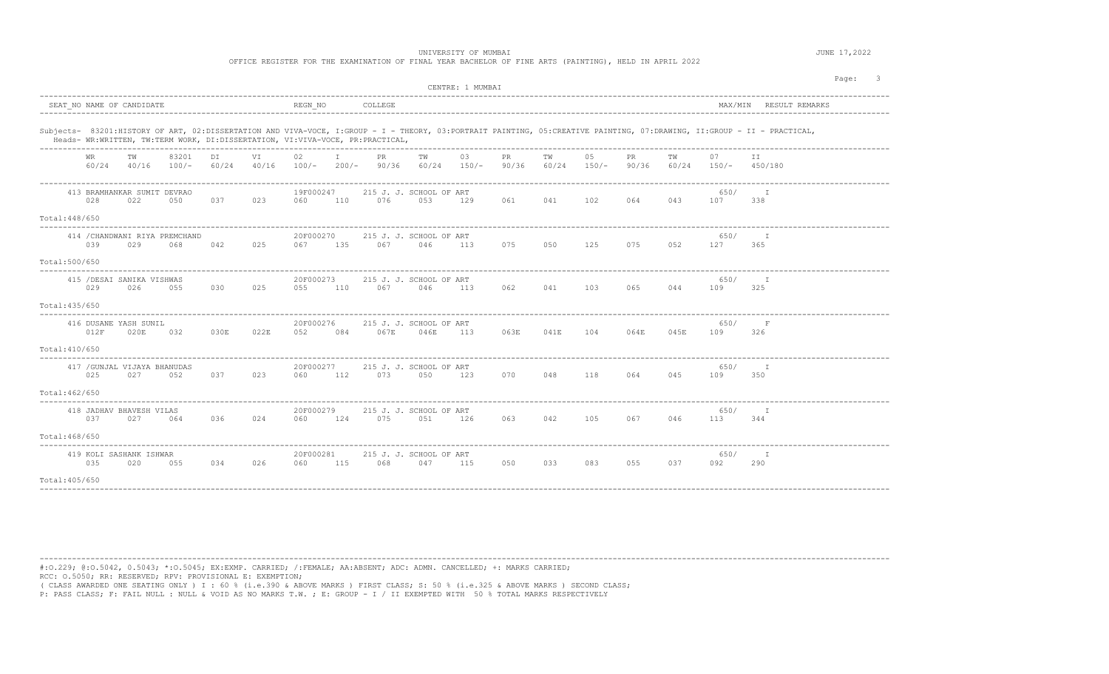OFFICE REGISTER FOR THE EXAMINATION OF FINAL YEAR BACHELOR OF FINE ARTS (PAINTING), HELD IN APRIL 2022

| Page:<br>CENTRE: 1 MUMBAI                                                     |                                              |                                                                                                                                                                         |                                                         |  |  |  |  |  |  |  |  |  |  |
|-------------------------------------------------------------------------------|----------------------------------------------|-------------------------------------------------------------------------------------------------------------------------------------------------------------------------|---------------------------------------------------------|--|--|--|--|--|--|--|--|--|--|
| SEAT NO NAME OF CANDIDATE                                                     | REGN NO                                      | COLLEGE                                                                                                                                                                 | MAX/MIN RESULT REMARKS                                  |  |  |  |  |  |  |  |  |  |  |
| Heads- WR:WRITTEN, TW:TERM WORK, DI:DISSERTATION, VI:VIVA-VOCE, PR:PRACTICAL, |                                              | Subjects- 83201:HISTORY OF ART, 02:DISSERTATION AND VIVA-VOCE, I:GROUP - I - THEORY, 03:PORTRAIT PAINTING, 05:CREATIVE PAINTING, 07:DRAWING, II:GROUP - II - PRACTICAL, |                                                         |  |  |  |  |  |  |  |  |  |  |
| тw<br>83201<br>DI<br>WR.<br>60/24<br>60/24<br>40/16<br>$100/-$                | $\mathbf{I}$<br>VI<br>02<br>40/16<br>$100/-$ | PR<br>TW<br>03<br>05<br>PR.<br>TW<br>$60/24$ 150/-<br>90/36<br>$200/-$ 90/36<br>60/24 150/-                                                                             | PR.<br>TW<br>07<br>ΙI<br>90/36<br>$60/24$ 150/- 450/180 |  |  |  |  |  |  |  |  |  |  |
| 413 BRAMHANKAR SUMIT DEVRAO<br>028<br>022<br>050<br>037<br>Total: 448/650     | 19F000247<br>023<br>110<br>060               | 215 J. J. SCHOOL OF ART<br>076<br>061<br>041<br>102<br>053<br>129                                                                                                       | 650/<br>T<br>064<br>043<br>107<br>338                   |  |  |  |  |  |  |  |  |  |  |
| 414 / CHANDWANI RIYA PREMCHAND<br>039<br>029<br>042<br>068                    | 20F000270<br>025<br>135<br>067               | 215 J. J. SCHOOL OF ART<br>067<br>075<br>125<br>046<br>113<br>050                                                                                                       | 650/<br>T<br>075<br>052<br>127<br>365                   |  |  |  |  |  |  |  |  |  |  |
| Total:500/650                                                                 |                                              |                                                                                                                                                                         |                                                         |  |  |  |  |  |  |  |  |  |  |
| 415 / DESAI SANIKA VISHWAS<br>029<br>026<br>055<br>030                        | 20F000273<br>025<br>110<br>055               | 215 J. J. SCHOOL OF ART<br>067<br>062<br>041<br>103<br>046<br>113                                                                                                       | 650/<br>$\top$<br>065<br>044<br>109<br>325              |  |  |  |  |  |  |  |  |  |  |
| Total: 435/650                                                                |                                              |                                                                                                                                                                         |                                                         |  |  |  |  |  |  |  |  |  |  |
| 416 DUSANE YASH SUNIL<br>012F<br>020E<br>030E<br>032                          | 20F000276<br>022E<br>052<br>084              | 215 J. J. SCHOOL OF ART<br>067E<br>046E<br>113<br>063E<br>041E<br>104                                                                                                   | 650/<br>F<br>045E<br>064E<br>109<br>326                 |  |  |  |  |  |  |  |  |  |  |
| Total:410/650                                                                 |                                              |                                                                                                                                                                         |                                                         |  |  |  |  |  |  |  |  |  |  |
| 417 / GUNJAL VIJAYA BHANUDAS<br>025<br>027<br>052<br>037<br>Total: 462/650    | 20F000277<br>023<br>060<br>112               | 215 J. J. SCHOOL OF ART<br>073<br>050<br>123<br>070<br>048<br>118                                                                                                       | 650/<br>$\top$<br>064<br>045<br>109<br>350              |  |  |  |  |  |  |  |  |  |  |
|                                                                               |                                              |                                                                                                                                                                         |                                                         |  |  |  |  |  |  |  |  |  |  |
| 418 JADHAV BHAVESH VILAS<br>037<br>027<br>064<br>036                          | 20F000279<br>024<br>124<br>060               | 215 J. J. SCHOOL OF ART<br>075<br>051<br>126<br>063<br>042<br>105                                                                                                       | 650/<br>I<br>067<br>046<br>113<br>344                   |  |  |  |  |  |  |  |  |  |  |
| Total: 468/650                                                                |                                              |                                                                                                                                                                         |                                                         |  |  |  |  |  |  |  |  |  |  |
| 419 KOLI SASHANK ISHWAR<br>035<br>020<br>055<br>034                           | 20F000281<br>026<br>115<br>060               | 215 J. J. SCHOOL OF ART<br>068<br>083<br>047<br>115<br>050<br>033                                                                                                       | 650/<br>T<br>055<br>037<br>092<br>290                   |  |  |  |  |  |  |  |  |  |  |
| Total: 405/650                                                                |                                              |                                                                                                                                                                         |                                                         |  |  |  |  |  |  |  |  |  |  |

----------------------------------------------------------------------------------------------------------------------------------------------------------------------------------------

#:O.229; @:O.5042, 0.5043; \*:O.5045; EX:EXMP. CARRIED; /:FEMALE; AA:ABSENT; ADC: ADMN. CANCELLED; +: MARKS CARRIED; RCC: O.5050; RR: RESERVED; RPV: PROVISIONAL E: EXEMPTION;

( CLASS AWARDED ONE SEATING ONLY ) I : 60 % (i.e.390 & ABOVE MARKS ) FIRST CLASS; S: 50 % (i.e.325 & ABOVE MARKS ) SECOND CLASS;

P: PASS CLASS; F: FAIL NULL : NULL & VOID AS NO MARKS T.W. ; E: GROUP - I / II EXEMPTED WITH 50 % TOTAL MARKS RESPECTIVELY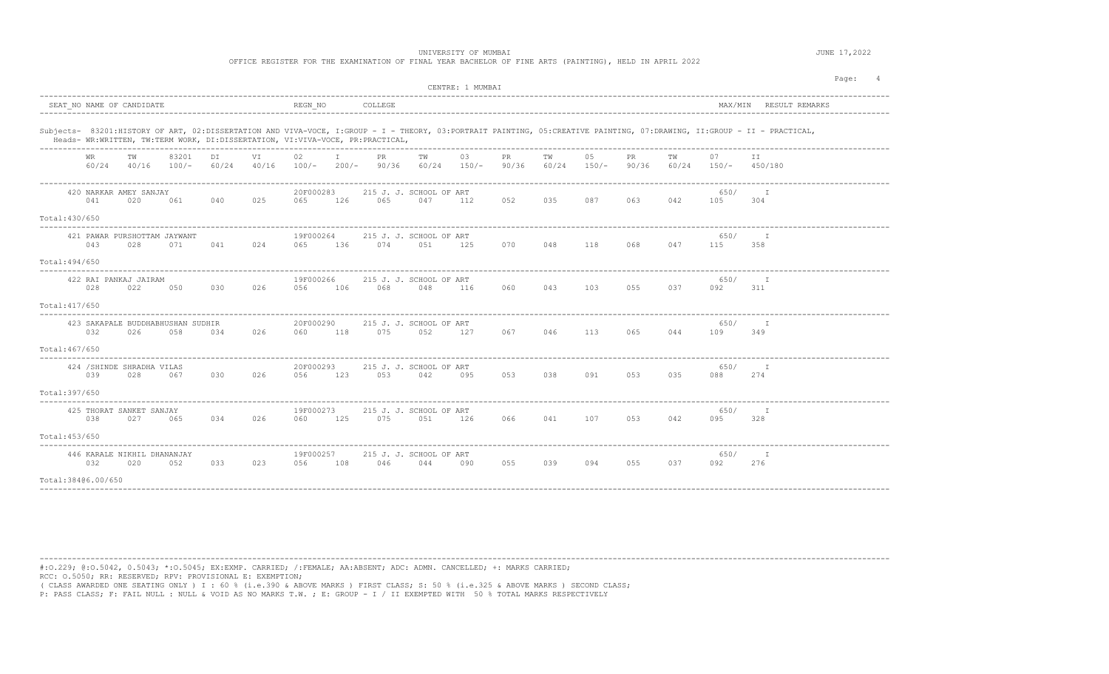UNIVERSITY OF MUMBAI **SECURE 17, 2022** 

OFFICE REGISTER FOR THE EXAMINATION OF FINAL YEAR BACHELOR OF FINE ARTS (PAINTING), HELD IN APRIL 2022

|                    |             |                                    |                                          |             |             |                  |              |                                                                               |     | CENTRE: 1 MUMBAI    |                    |     |                   |              |     |                              |                                                                                                                                                                         | Page: |
|--------------------|-------------|------------------------------------|------------------------------------------|-------------|-------------|------------------|--------------|-------------------------------------------------------------------------------|-----|---------------------|--------------------|-----|-------------------|--------------|-----|------------------------------|-------------------------------------------------------------------------------------------------------------------------------------------------------------------------|-------|
|                    |             | SEAT NO NAME OF CANDIDATE          |                                          |             |             | REGN NO          |              | COLLEGE                                                                       |     |                     |                    |     |                   |              |     |                              | MAX/MIN RESULT REMARKS                                                                                                                                                  |       |
|                    |             |                                    |                                          |             |             |                  |              | Heads- WR:WRITTEN, TW:TERM WORK, DI:DISSERTATION, VI:VIVA-VOCE, PR:PRACTICAL, |     |                     |                    |     |                   |              |     |                              | Subjects- 83201:HISTORY OF ART, 02:DISSERTATION AND VIVA-VOCE, I:GROUP - I - THEORY, 03:PORTRAIT PAINTING, 05:CREATIVE PAINTING, 07:DRAWING, II:GROUP - II - PRACTICAL, |       |
|                    | WR<br>60/24 | TW<br>40/16                        | 83201<br>$100/-$                         | DI<br>60/24 | VI<br>40/16 | 02<br>$100/-$    | $\mathbb{I}$ | PR<br>$200/-$ 90/36                                                           | TW  | 03<br>$60/24$ 150/- | <b>PR</b><br>90/36 | TW  | 05<br>60/24 150/- | PR.<br>90/36 | TW  | 07<br>$60/24$ $150/ 450/180$ | ΙI                                                                                                                                                                      |       |
| Total: 430/650     | 041         | 420 NARKAR AMEY SANJAY<br>020      | 061                                      | 040         | 025         | 20F000283<br>065 | 126          | 215 J. J. SCHOOL OF ART<br>065                                                | 047 | 112                 | 052                | 035 | 087               | 063          | 042 | 650/<br>105                  | 304                                                                                                                                                                     |       |
|                    | 043         | 028                                | 421 PAWAR PURSHOTTAM JAYWANT<br>071      | 041         | 024         | 19F000264<br>065 | 136          | 215 J. J. SCHOOL OF ART<br>074                                                | 051 | 125                 | 070                | 048 | 118               | 068          | 047 | 650/<br>115                  | $\mathbb{I}$<br>358                                                                                                                                                     |       |
| Total: 494/650     |             |                                    |                                          |             |             |                  |              |                                                                               |     |                     |                    |     |                   |              |     |                              |                                                                                                                                                                         |       |
|                    | 028         | 422 RAI PANKAJ JAIRAM<br>022       | 050                                      | 030         | 026         | 19F000266<br>056 | 106          | 215 J. J. SCHOOL OF ART<br>068                                                | 048 | 116                 | 060                | 043 | 103               | 055          | 037 | 650/<br>092                  | $\top$<br>311                                                                                                                                                           |       |
| Total: 417/650     |             |                                    |                                          |             |             |                  |              |                                                                               |     |                     |                    |     |                   |              |     |                              |                                                                                                                                                                         |       |
|                    | 032         | 026                                | 423 SAKAPALE BUDDHABHUSHAN SUDHIR<br>058 | 034         | 026         | 20F000290<br>060 | 118          | 215 J. J. SCHOOL OF ART<br>075                                                | 052 | 127                 | 067                | 046 | 113               | 065          | 044 | 650/<br>109                  | 349                                                                                                                                                                     |       |
| Total:467/650      |             |                                    |                                          |             |             |                  |              |                                                                               |     |                     |                    |     |                   |              |     |                              |                                                                                                                                                                         |       |
| Total:397/650      | 039         | 424 / SHINDE SHRADHA VILAS<br>028  | 067                                      | 030         | 026         | 20F000293<br>056 | 123          | 215 J. J. SCHOOL OF ART<br>053                                                | 042 | 095                 | 053                | 038 | 091               | 053          | 035 | 650/<br>088                  | 274                                                                                                                                                                     |       |
|                    |             |                                    |                                          |             |             |                  |              |                                                                               |     |                     |                    |     |                   |              |     |                              |                                                                                                                                                                         |       |
|                    | 038         | 425 THORAT SANKET SANJAY<br>027    | 065                                      | 034         | 026         | 19F000273<br>060 | 125          | 215 J. J. SCHOOL OF ART<br>075                                                | 051 | 126                 | 066                | 041 | 107               | 053          | 042 | 650/<br>095                  | I<br>328                                                                                                                                                                |       |
| Total: 453/650     |             |                                    |                                          |             |             |                  |              |                                                                               |     |                     |                    |     |                   |              |     |                              |                                                                                                                                                                         |       |
|                    | 032         | 446 KARALE NIKHIL DHANANJAY<br>020 | 052                                      | 033         | 023         | 19F000257<br>056 | 108          | 215 J. J. SCHOOL OF ART<br>046                                                | 044 | 090                 | 055                | 039 | 094               | 055          | 037 | 650/<br>092                  | T<br>276                                                                                                                                                                |       |
| Total:38406.00/650 |             |                                    |                                          |             |             |                  |              |                                                                               |     |                     |                    |     |                   |              |     |                              |                                                                                                                                                                         |       |

----------------------------------------------------------------------------------------------------------------------------------------------------------------------------------------

#:O.229; @:O.5042, 0.5043; \*:O.5045; EX:EXMP. CARRIED; /:FEMALE; AA:ABSENT; ADC: ADMN. CANCELLED; +: MARKS CARRIED; RCC: O.5050; RR: RESERVED; RPV: PROVISIONAL E: EXEMPTION;

( CLASS AWARDED ONE SEATING ONLY ) I : 60 % (i.e.390 & ABOVE MARKS ) FIRST CLASS; S: 50 % (i.e.325 & ABOVE MARKS ) SECOND CLASS;

P: PASS CLASS; F: FAIL NULL : NULL & VOID AS NO MARKS T.W. ; E: GROUP - I / II EXEMPTED WITH 50 % TOTAL MARKS RESPECTIVELY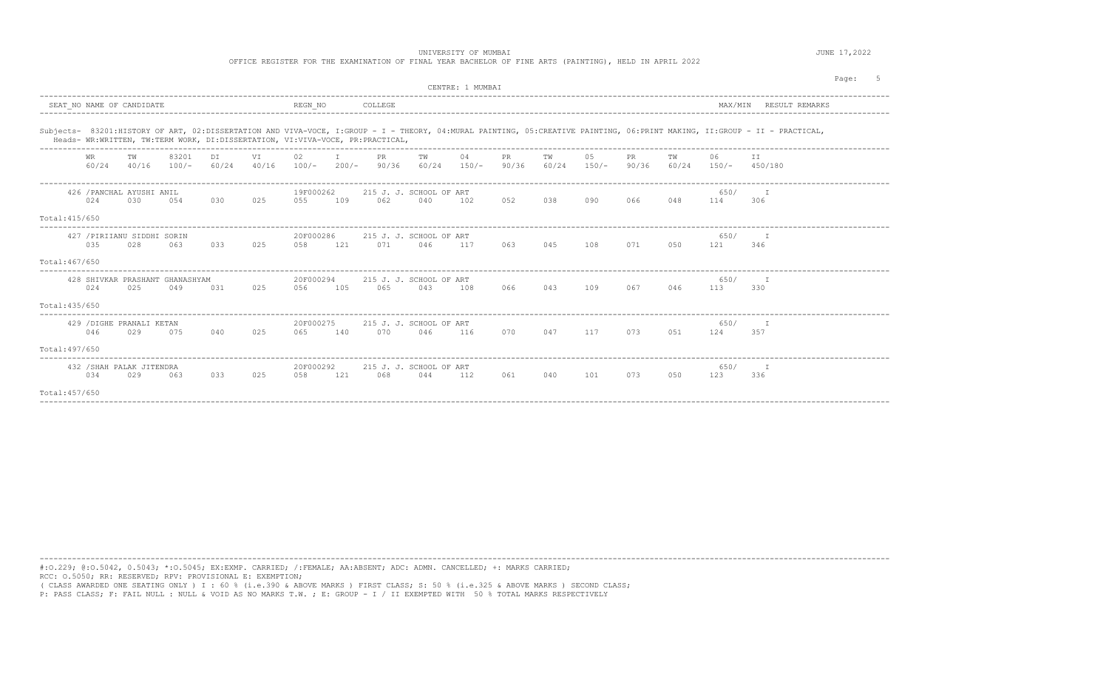UNIVERSITY OF MUMBAI **DECISION CONTRACT CONTRACT CONTRACT CONTRACT CONTRACT OF MUMBAI** 

OFFICE REGISTER FOR THE EXAMINATION OF FINAL YEAR BACHELOR OF FINE ARTS (PAINTING), HELD IN APRIL 2022

|                | CENTRE: 1 MUMBAT   |                                    |                                        |              |           |                  |                  |                                                                               |     |     |              |             |                |                    |             |                      | Page:                                                                                                                                                                     |  |
|----------------|--------------------|------------------------------------|----------------------------------------|--------------|-----------|------------------|------------------|-------------------------------------------------------------------------------|-----|-----|--------------|-------------|----------------|--------------------|-------------|----------------------|---------------------------------------------------------------------------------------------------------------------------------------------------------------------------|--|
|                |                    | SEAT NO NAME OF CANDIDATE          |                                        |              |           | REGN NO          | ---------------- | COLLEGE                                                                       |     |     |              |             |                |                    |             | MAX/MIN              | RESULT REMARKS                                                                                                                                                            |  |
|                |                    |                                    |                                        |              |           |                  |                  | Heads- WR:WRITTEN, TW:TERM WORK, DI:DISSERTATION, VI:VIVA-VOCE, PR:PRACTICAL, |     |     |              |             |                |                    |             |                      | Subjects- 83201:HISTORY OF ART, 02:DISSERTATION AND VIVA-VOCE, I:GROUP - I - THEORY, 04:MURAL PAINTING, 05:CREATIVE PAINTING, 06:PRINT MAKING, II:GROUP - II - PRACTICAL, |  |
|                | <b>WR</b><br>60/24 | TW<br>40/16                        | 83201<br>$100/-$                       | DT.<br>60/24 | <b>VT</b> | 02               | $\top$           | PR<br>$40/16$ $100/ 200/ 90/36$ $60/24$ $150/-$                               | TW  | 04  | PR.<br>90/36 | TW<br>60/24 | 0.5<br>$150/-$ | <b>PR</b><br>90/36 | TW<br>60/24 | 06<br>$150/ 450/180$ | TT.                                                                                                                                                                       |  |
|                | 024                | 426 / PANCHAL AYUSHI ANIL<br>030   | 054                                    | 030          | 025       | 19F000262<br>055 | 109              | 215 J. J. SCHOOL OF ART<br>062                                                | 040 | 102 | 052          | 038         | 090            | 066                | 048         | 650/<br>114          | $-$ T<br>306                                                                                                                                                              |  |
| Total: 415/650 |                    |                                    |                                        |              |           |                  |                  |                                                                               |     |     |              |             |                |                    |             |                      |                                                                                                                                                                           |  |
|                | 035                | 427 / PIRIIANU SIDDHI SORIN<br>028 | 063                                    | 0.3.3        | 025       | 20F000286<br>058 | 121              | 215 J. J. SCHOOL OF ART<br>071                                                | 046 | 117 | 063          | 045         | 108            | 071                | 050         | 650/<br>121          | 346                                                                                                                                                                       |  |
| Total: 467/650 |                    |                                    |                                        |              |           |                  |                  |                                                                               |     |     |              |             |                |                    |             |                      |                                                                                                                                                                           |  |
|                | 024                | 025                                | 428 SHIVKAR PRASHANT GHANASHYAM<br>049 | 031          | 025       | 20F000294<br>056 | 105              | 215 J. J. SCHOOL OF ART<br>065                                                | 043 | 108 | 066          | 043         | 109            | 067                | 046         | 650/<br>113          | 330                                                                                                                                                                       |  |
| Total: 435/650 |                    |                                    |                                        |              |           |                  |                  |                                                                               |     |     |              |             |                |                    |             |                      |                                                                                                                                                                           |  |
|                | 046                | 429 / DIGHE PRANALI KETAN<br>029   | 075                                    | 040          | 025       | 20F000275<br>065 | 140              | 215 J. J. SCHOOL OF ART<br>070                                                | 046 | 116 | 070          | 047         | 117            | 073                | 0.51        | 650/<br>124          | 357                                                                                                                                                                       |  |
| Total: 497/650 |                    |                                    |                                        |              |           |                  |                  |                                                                               |     |     |              |             |                |                    |             |                      |                                                                                                                                                                           |  |
|                | 034                | 432 / SHAH PALAK JITENDRA<br>029   | 063                                    | 0.3.3        | 025       | 20F000292<br>058 | 121              | 215 J. J. SCHOOL OF ART<br>068                                                | 044 | 112 | 061          | 040         | 101            | 073                | 050         | 650/<br>123          | - т<br>336                                                                                                                                                                |  |
| Total: 457/650 |                    |                                    |                                        |              |           |                  |                  |                                                                               |     |     |              |             |                |                    |             |                      |                                                                                                                                                                           |  |

----------------------------------------------------------------------------------------------------------------------------------------------------------------------------------------

#:O.229; @:O.5042, 0.5043; \*:O.5045; EX:EXMP. CARRIED; /:FEMALE; AA:ABSENT; ADC: ADMN. CANCELLED; +: MARKS CARRIED; RCC: O.5050; RR: RESERVED; RPV: PROVISIONAL E: EXEMPTION;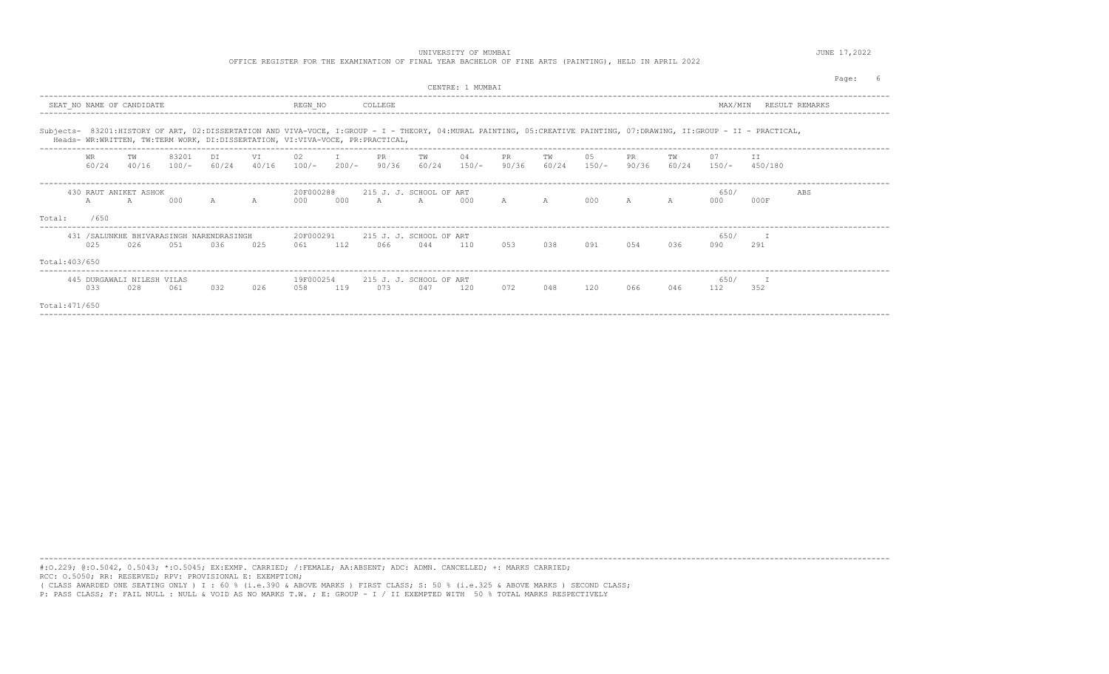OFFICE REGISTER FOR THE EXAMINATION OF FINAL YEAR BACHELOR OF FINE ARTS (PAINTING), HELD IN APRIL 2022

|                | CENTRE: 1 MUMBAT                   |             |       |                                                  |             |                                                                               |         |                                           |     |                             |              |              |               |             |     | Page:                        |                                                                                                                                                                      |     |  |
|----------------|------------------------------------|-------------|-------|--------------------------------------------------|-------------|-------------------------------------------------------------------------------|---------|-------------------------------------------|-----|-----------------------------|--------------|--------------|---------------|-------------|-----|------------------------------|----------------------------------------------------------------------------------------------------------------------------------------------------------------------|-----|--|
|                | SEAT NO NAME OF CANDIDATE          |             |       |                                                  |             | REGN NO                                                                       |         | COLLEGE                                   |     |                             |              |              |               |             |     | MAX/MIN                      | RESULT REMARKS                                                                                                                                                       |     |  |
|                |                                    |             |       |                                                  |             | Heads- WR:WRITTEN, TW:TERM WORK, DI:DISSERTATION, VI:VIVA-VOCE, PR:PRACTICAL, |         |                                           |     |                             |              |              |               |             |     |                              | Subjects- 83201:HISTORY OF ART, 02:DISSERTATION AND VIVA-VOCE, I:GROUP - I - THEORY, 04:MURAL PAINTING, 05:CREATIVE PAINTING, 07:DRAWING, II:GROUP - II - PRACTICAL, |     |  |
|                | WR<br>60/24                        | тw<br>40/16 | 83201 | DI<br>$100/- 60/24$                              | VI<br>40/16 | 02<br>$100/-$                                                                 | $200/-$ | PR<br>90/36                               | TW  | 04<br>$60/24$ $150/-$ 90/36 | PR.          | TW<br>60/24  | 05<br>$150/-$ | PR<br>90/36 | TW  | 07<br>$60/24$ $150/ 450/180$ | T T                                                                                                                                                                  |     |  |
| Total:         | 430 RAUT ANIKET ASHOK<br>A<br>/650 |             | 000   | $\mathbb A$                                      | $\mathbb A$ | 20F000288<br>000                                                              | 000     | 215 J. J. SCHOOL OF ART<br>$\overline{A}$ | A   | 0.00                        | $\mathbb{A}$ | $\mathbb{A}$ | 000           |             | A   | 650/<br>000                  | 000F                                                                                                                                                                 | ABS |  |
| Total: 403/650 | 025                                | 026         | 0.51  | 431 / SALUNKHE BHIVARASINGH NARENDRASINGH<br>036 | 025         | 20F000291<br>061                                                              | 112     | 215 J. J. SCHOOL OF ART<br>066            | 044 | 110                         | 0.53         | 038          | 091           | 0.54        | 036 | 650/<br>090                  | 291                                                                                                                                                                  |     |  |
| Total: 471/650 | 445 DURGAWALI NILESH VILAS<br>033  | 028         | 061   | 0.32                                             | 026         | 19F000254<br>058                                                              | 119     | 215 J. J. SCHOOL OF ART<br>073            | 047 | 120                         | 072          | 048          | 120           | 066         | 046 | 650/<br>112                  | 352                                                                                                                                                                  |     |  |

----------------------------------------------------------------------------------------------------------------------------------------------------------------------------------------

----------------------------------------------------------------------------------------------------------------------------------------------------------------------------------------

#:O.229; @:O.5042, 0.5043; \*:O.5045; EX:EXMP. CARRIED; /:FEMALE; AA:ABSENT; ADC: ADMN. CANCELLED; +: MARKS CARRIED; RCC: O.5050; RR: RESERVED; RPV: PROVISIONAL E: EXEMPTION;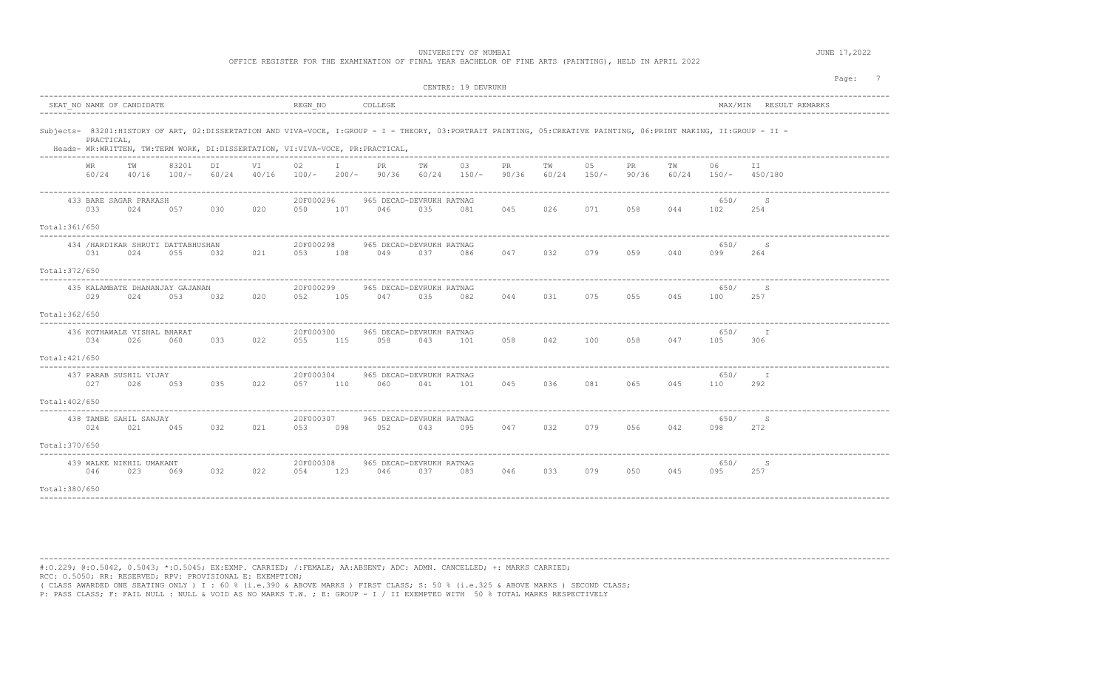UNIVERSITY OF MUMBAI **Alternative Contract Contract Contract Contract Contract Contract Contract Contract Contract Contract Contract Contract Contract Contract Contract Contract Contract Contract Contract Contract Contract** 

OFFICE REGISTER FOR THE EXAMINATION OF FINAL YEAR BACHELOR OF FINE ARTS (PAINTING), HELD IN APRIL 2022

|                | CENTRE: 19 DEVRUKH |                                           |                  |             |       |                      |              |                                                                                                                                                                                                                                                    |     |     |     |     |         |             |     | Page: 7                      |                        |  |
|----------------|--------------------|-------------------------------------------|------------------|-------------|-------|----------------------|--------------|----------------------------------------------------------------------------------------------------------------------------------------------------------------------------------------------------------------------------------------------------|-----|-----|-----|-----|---------|-------------|-----|------------------------------|------------------------|--|
|                |                    | SEAT NO NAME OF CANDIDATE                 |                  |             |       | $REGN_NO$            |              | COLLEGE                                                                                                                                                                                                                                            |     |     |     |     |         |             |     |                              | MAX/MIN RESULT REMARKS |  |
|                | PRACTICAL,         |                                           |                  |             |       |                      |              | Subjects- 83201:HISTORY OF ART, 02:DISSERTATION AND VIVA-VOCE, I:GROUP - I - THEORY, 03:PORTRAIT PAINTING, 05:CREATIVE PAINTING, 06:PRINT MAKING, II:GROUP - II -<br>Heads- WR:WRITTEN, TW:TERM WORK, DI:DISSERTATION, VI:VIVA-VOCE, PR:PRACTICAL, |     |     |     |     |         |             |     |                              |                        |  |
|                | WR                 | ТW<br>60/24 40/16                         | 83201<br>$100/-$ | DI<br>60/24 | 40/16 | 02                   | $\mathbb{I}$ | PR.<br>$100/-$ 200/- 90/36 60/24 150/- 90/36 60/24 150/-                                                                                                                                                                                           | TW  | 03  | PR  | TW  | 05      | PR<br>90/36 | ΤW  | 06<br>$60/24$ $150/ 450/180$ | ΙI                     |  |
| Total:361/650  | 033                | 433 BARE SAGAR PRAKASH<br>024             | 057              | 030         | 020   | 20F000296<br>050     | 107          | 965 DECAD-DEVRUKH RATNAG<br>046                                                                                                                                                                                                                    | 035 | 081 | 045 | 026 | 071     | 058         | 044 | 650/<br>102                  | S<br>254               |  |
| Total:372/650  | 031                | 434 / HARDIKAR SHRUTI DATTABHUSHAN<br>024 | 055              | 032         | 021   | 20F000298<br>053     | 108          | 965 DECAD-DEVRUKH RATNAG<br>049                                                                                                                                                                                                                    | 037 | 086 | 047 | 032 | 079     | 059         | 040 | 650/<br>099                  | S<br>264               |  |
| Total: 362/650 | 029                | 435 KALAMBATE DHANANJAY GAJANAN<br>024    | 053              | 032         | 020   | 20F000299<br>052     | 105          | 965 DECAD-DEVRUKH RATNAG<br>047                                                                                                                                                                                                                    | 035 | 082 | 044 | 031 | 075     | 055         | 045 | 650/<br>100                  | S<br>257               |  |
| Total: 421/650 | 034                | 436 KOTHAWALE VISHAL BHARAT<br>026        | 060              | 033 022     |       | 20F000300<br>055 115 |              | 965 DECAD-DEVRUKH RATNAG<br>058                                                                                                                                                                                                                    | 043 | 101 | 058 | 042 | 100 058 |             | 047 | 650/<br>105                  | - I<br>306             |  |
| Total: 402/650 | 027                | 437 PARAB SUSHIL VIJAY<br>026             | 053              | 035         | 022   | 20F000304<br>057     | 110          | 965 DECAD-DEVRUKH RATNAG<br>060                                                                                                                                                                                                                    | 041 | 101 | 045 | 036 | 081     | 065         | 045 | 650/<br>110                  | $\mathbb{I}$<br>292    |  |
| Total:370/650  | 024                | 438 TAMBE SAHIL SANJAY<br>021             | 045              | 032         | 021   | 20F000307<br>053     | 098          | 965 DECAD-DEVRUKH RATNAG<br>052                                                                                                                                                                                                                    | 043 | 095 | 047 | 032 | 079     | 056         | 042 | 650/<br>098                  | S<br>272               |  |
| Total: 380/650 | 046                | 439 WALKE NIKHIL UMAKANT<br>023           | 069              | 032         | 022   | 20F000308<br>054     | 123          | 965 DECAD-DEVRUKH RATNAG<br>046                                                                                                                                                                                                                    | 037 | 083 | 046 | 033 | 079     | 050         | 045 | 650/<br>095                  | S<br>257               |  |

----------------------------------------------------------------------------------------------------------------------------------------------------------------------------------------

#:O.229; @:O.5042, 0.5043; \*:O.5045; EX:EXMP. CARRIED; /:FEMALE; AA:ABSENT; ADC: ADMN. CANCELLED; +: MARKS CARRIED; RCC: O.5050; RR: RESERVED; RPV: PROVISIONAL E: EXEMPTION;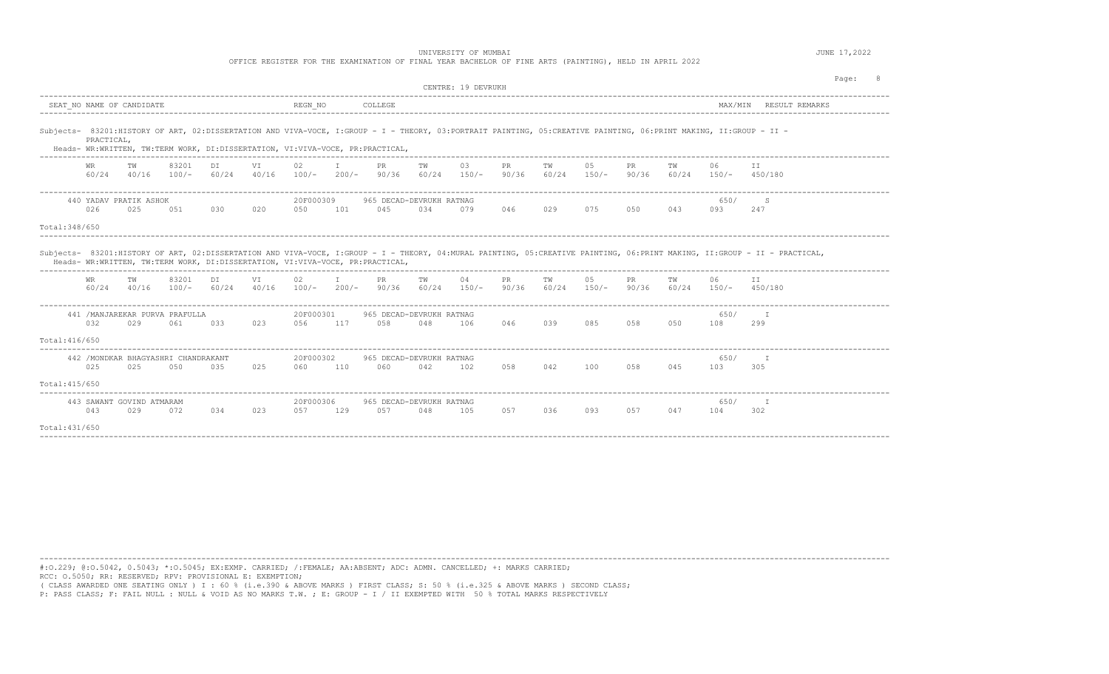OFFICE REGISTER FOR THE EXAMINATION OF FINAL YEAR BACHELOR OF FINE ARTS (PAINTING), HELD IN APRIL 2022

|                |              |                                  |                                             |     |                                       |                  |                     |                                                                                                                                                                                                                                                    |     |                    |     |             |               |                    |                                 |                              |                                                                                                                                                                           | Page: |
|----------------|--------------|----------------------------------|---------------------------------------------|-----|---------------------------------------|------------------|---------------------|----------------------------------------------------------------------------------------------------------------------------------------------------------------------------------------------------------------------------------------------------|-----|--------------------|-----|-------------|---------------|--------------------|---------------------------------|------------------------------|---------------------------------------------------------------------------------------------------------------------------------------------------------------------------|-------|
|                |              |                                  |                                             |     |                                       |                  |                     |                                                                                                                                                                                                                                                    |     | CENTRE: 19 DEVRUKH |     |             |               |                    |                                 |                              |                                                                                                                                                                           |       |
|                |              | SEAT NO NAME OF CANDIDATE        |                                             |     |                                       | REGN NO          |                     | COLLEGE                                                                                                                                                                                                                                            |     |                    |     |             |               |                    |                                 |                              | MAX/MIN RESULT REMARKS                                                                                                                                                    |       |
|                | PRACTICAL,   |                                  |                                             |     |                                       |                  |                     | - Subjects- 83201:HISTORY OF ART, 02:DISSERTATION AND VIVA-VOCE, I:GROUP - I - THEORY, 03:PORTRAIT PAINTING, 05:CREATIVE PAINTING, 06:PRINT MAKING, II:GROUP - II<br>Heads- WR:WRITTEN, TW:TERM WORK, DI:DISSERTATION, VI:VIVA-VOCE, PR:PRACTICAL, |     |                    |     |             |               |                    |                                 |                              |                                                                                                                                                                           |       |
|                | WR           | TW<br>$60/24$ $40/16$ $100/-$    | 83201                                       | DI  | <b>VT</b>                             | 02               | I.                  | <b>PR</b><br>60/24 40/16 100/- 200/- 90/36 60/24 150/- 90/36 60/24 150/-                                                                                                                                                                           | TW  | 03                 | PR  | TW          | 05            | <b>PR</b><br>90/36 | TW                              | 06<br>$60/24$ $150/ 450/180$ | T T                                                                                                                                                                       |       |
| Total: 348/650 | 026          | 440 YADAV PRATIK ASHOK<br>025    | 051                                         | 030 | 020                                   | 20F000309<br>050 | 101                 | 965 DECAD-DEVRUKH RATNAG<br>045                                                                                                                                                                                                                    | 034 | 079                | 046 | 029         | 075           | 050                | 043                             | 650/<br>093                  | S.<br>247                                                                                                                                                                 |       |
|                |              |                                  |                                             |     |                                       |                  |                     | Heads- WR:WRITTEN, TW:TERM WORK, DI:DISSERTATION, VI:VIVA-VOCE, PR:PRACTICAL,                                                                                                                                                                      |     |                    |     |             |               |                    |                                 |                              | Subjects- 83201:HISTORY OF ART, 02:DISSERTATION AND VIVA-VOCE, I:GROUP - I - THEORY, 04:MURAL PAINTING, 05:CREATIVE PAINTING, 06:PRINT MAKING, II:GROUP - II - PRACTICAL, |       |
|                | WR.<br>60/24 | TW<br>$40/16$ $100/-$            | 83201                                       | DI  | VI                                    | 02               | T.                  | PR.<br>$60/24$ $40/16$ $100/ 200/ 90/36$ $60/24$ $150/ 90/36$                                                                                                                                                                                      | TW  | 04                 | PR  | TW<br>60/24 | 05<br>$150/-$ | PR.                | TW<br>90/36 60/24 150/- 450/180 | 06                           | TT.                                                                                                                                                                       |       |
|                | 032          | 029                              | 441 /MANJAREKAR PURVA PRAFULLA<br>061       | 033 | 023                                   | 20F000301<br>056 | 117                 | 965 DECAD-DEVRUKH RATNAG<br>058                                                                                                                                                                                                                    | 048 | 106                | 046 | 039         | 085           | 058                | 050                             | 650/<br>108                  | T<br>299                                                                                                                                                                  |       |
| Total:416/650  |              |                                  |                                             |     |                                       |                  |                     |                                                                                                                                                                                                                                                    |     |                    |     |             |               |                    |                                 |                              |                                                                                                                                                                           |       |
|                | 025          | 025                              | 442 / MONDKAR BHAGYASHRI CHANDRAKANT<br>050 | 035 | 025                                   | 20F000302<br>060 | 110                 | 965 DECAD-DEVRUKH RATNAG<br>060                                                                                                                                                                                                                    | 042 | 102                | 058 | 042         | 100           | 058                | 045                             | 650/<br>103                  | $-$ T<br>305                                                                                                                                                              |       |
| Total: 415/650 |              |                                  |                                             |     |                                       |                  |                     |                                                                                                                                                                                                                                                    |     |                    |     |             |               |                    |                                 |                              |                                                                                                                                                                           |       |
| Total:431/650  | 043          | 443 SAWANT GOVIND ATMARAM<br>029 | 072                                         | 034 | ______________________________<br>023 | 20F000306<br>057 | ------------<br>129 | 965 DECAD-DEVRUKH RATNAG<br>0.57                                                                                                                                                                                                                   | 048 | 105                | 057 | 036         | 093           | 057                | 047                             | 650/<br>104                  | - I<br>302                                                                                                                                                                |       |
|                |              |                                  |                                             |     |                                       |                  |                     |                                                                                                                                                                                                                                                    |     |                    |     |             |               |                    |                                 |                              |                                                                                                                                                                           |       |

----------------------------------------------------------------------------------------------------------------------------------------------------------------------------------------

#:O.229; @:O.5042, 0.5043; \*:O.5045; EX:EXMP. CARRIED; /:FEMALE; AA:ABSENT; ADC: ADMN. CANCELLED; +: MARKS CARRIED; RCC: O.5050; RR: RESERVED; RPV: PROVISIONAL E: EXEMPTION;